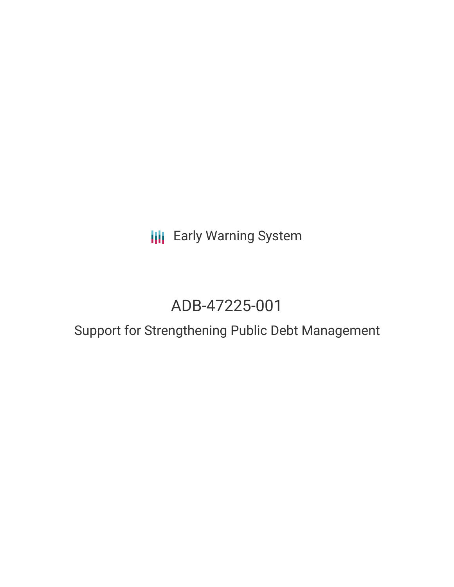**III** Early Warning System

## ADB-47225-001

### Support for Strengthening Public Debt Management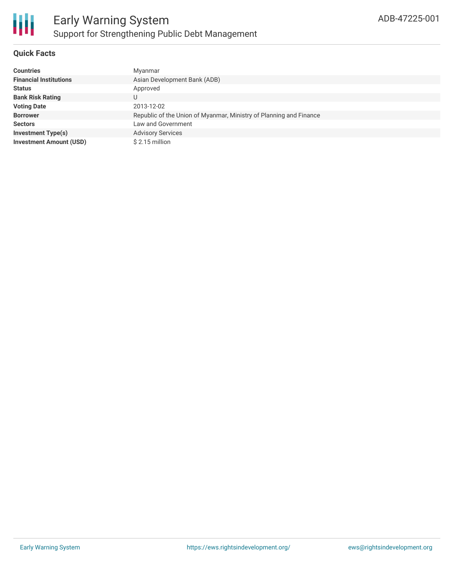

#### **Quick Facts**

| <b>Countries</b>               | Myanmar                                                            |
|--------------------------------|--------------------------------------------------------------------|
| <b>Financial Institutions</b>  | Asian Development Bank (ADB)                                       |
| <b>Status</b>                  | Approved                                                           |
| <b>Bank Risk Rating</b>        |                                                                    |
| <b>Voting Date</b>             | 2013-12-02                                                         |
| <b>Borrower</b>                | Republic of the Union of Myanmar, Ministry of Planning and Finance |
| <b>Sectors</b>                 | Law and Government                                                 |
| <b>Investment Type(s)</b>      | <b>Advisory Services</b>                                           |
| <b>Investment Amount (USD)</b> | $$2.15$ million                                                    |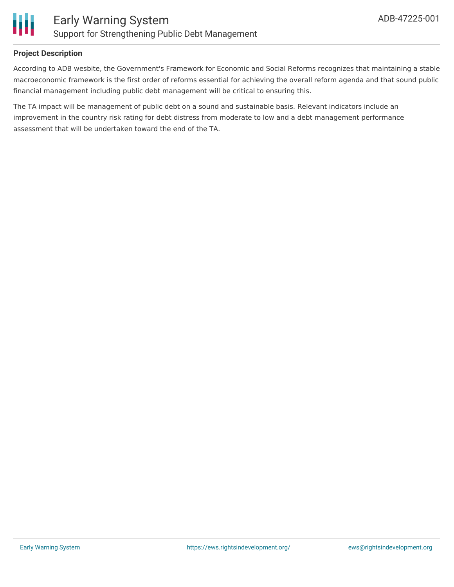

#### **Project Description**

According to ADB wesbite, the Government's Framework for Economic and Social Reforms recognizes that maintaining a stable macroeconomic framework is the first order of reforms essential for achieving the overall reform agenda and that sound public financial management including public debt management will be critical to ensuring this.

The TA impact will be management of public debt on a sound and sustainable basis. Relevant indicators include an improvement in the country risk rating for debt distress from moderate to low and a debt management performance assessment that will be undertaken toward the end of the TA.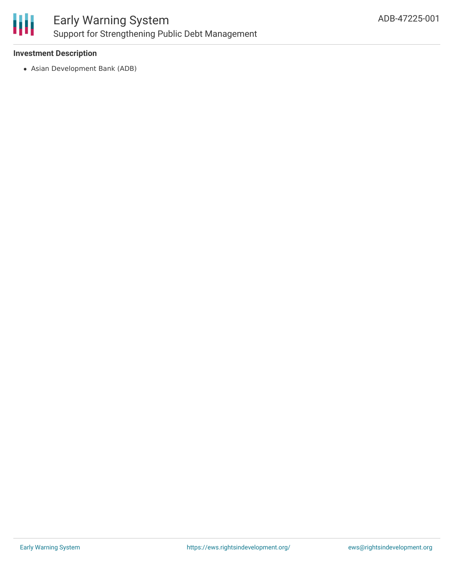

#### **Investment Description**

Asian Development Bank (ADB)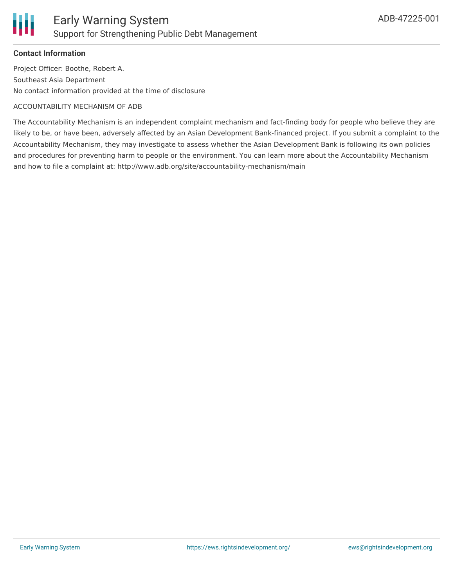

#### **Contact Information**

Project Officer: Boothe, Robert A. Southeast Asia Department No contact information provided at the time of disclosure

#### ACCOUNTABILITY MECHANISM OF ADB

The Accountability Mechanism is an independent complaint mechanism and fact-finding body for people who believe they are likely to be, or have been, adversely affected by an Asian Development Bank-financed project. If you submit a complaint to the Accountability Mechanism, they may investigate to assess whether the Asian Development Bank is following its own policies and procedures for preventing harm to people or the environment. You can learn more about the Accountability Mechanism and how to file a complaint at: http://www.adb.org/site/accountability-mechanism/main